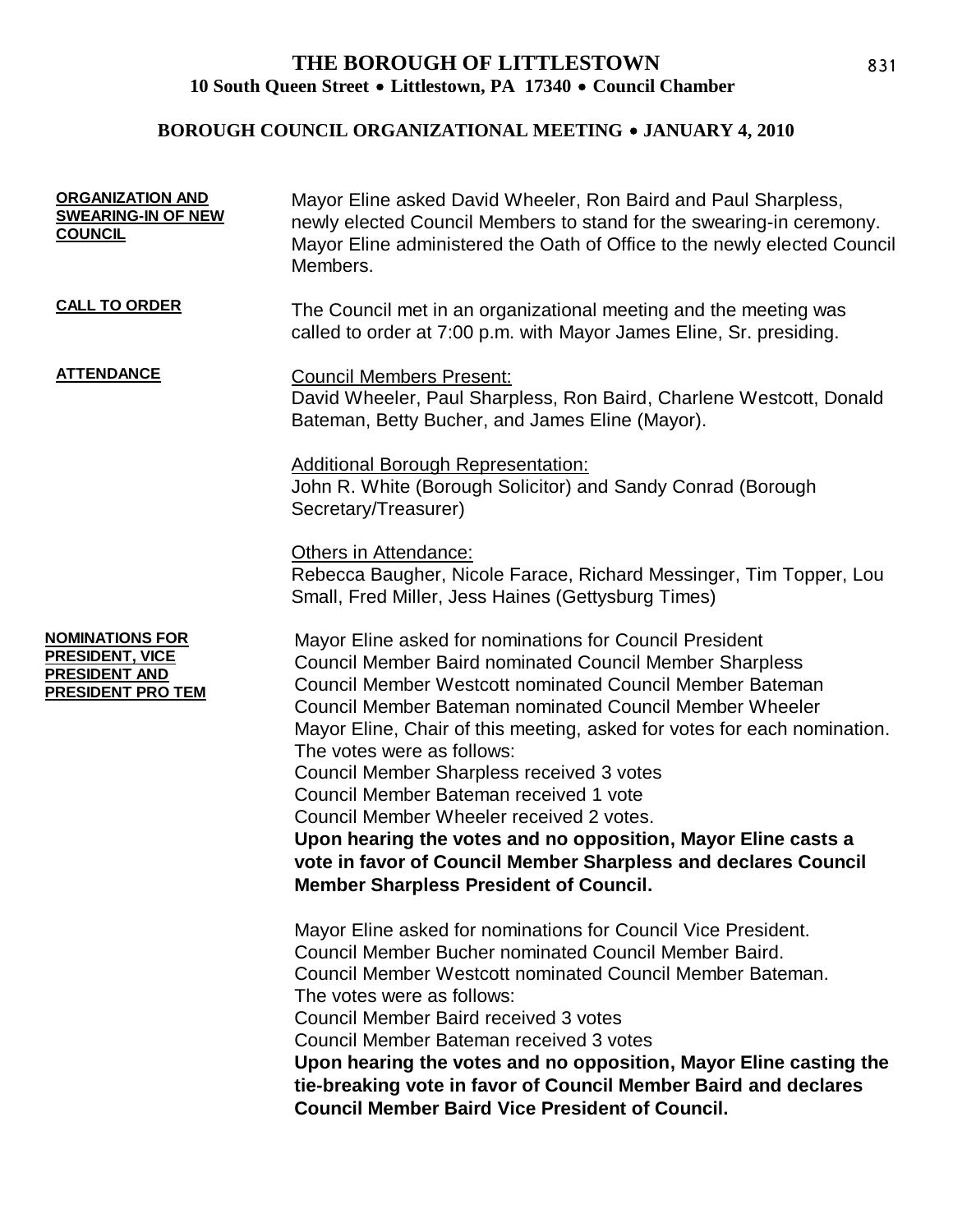## **THE BOROUGH OF LITTLESTOWN** 10 South Queen Street • Littlestown, PA 17340 • Council Chamber

# **BOROUGH COUNCIL ORGANIZATIONAL MEETING • JANUARY 4, 2010**

| <b>ORGANIZATION AND</b><br><b>SWEARING-IN OF NEW</b><br><b>COUNCIL</b>                 | Mayor Eline asked David Wheeler, Ron Baird and Paul Sharpless,<br>newly elected Council Members to stand for the swearing-in ceremony.<br>Mayor Eline administered the Oath of Office to the newly elected Council<br>Members.                                                                                                                                                                                                                                                                                                                                        |
|----------------------------------------------------------------------------------------|-----------------------------------------------------------------------------------------------------------------------------------------------------------------------------------------------------------------------------------------------------------------------------------------------------------------------------------------------------------------------------------------------------------------------------------------------------------------------------------------------------------------------------------------------------------------------|
| <b>CALL TO ORDER</b>                                                                   | The Council met in an organizational meeting and the meeting was<br>called to order at 7:00 p.m. with Mayor James Eline, Sr. presiding.                                                                                                                                                                                                                                                                                                                                                                                                                               |
| <b>ATTENDANCE</b>                                                                      | <b>Council Members Present:</b><br>David Wheeler, Paul Sharpless, Ron Baird, Charlene Westcott, Donald<br>Bateman, Betty Bucher, and James Eline (Mayor).                                                                                                                                                                                                                                                                                                                                                                                                             |
|                                                                                        | <b>Additional Borough Representation:</b><br>John R. White (Borough Solicitor) and Sandy Conrad (Borough<br>Secretary/Treasurer)                                                                                                                                                                                                                                                                                                                                                                                                                                      |
|                                                                                        | Others in Attendance:<br>Rebecca Baugher, Nicole Farace, Richard Messinger, Tim Topper, Lou<br>Small, Fred Miller, Jess Haines (Gettysburg Times)                                                                                                                                                                                                                                                                                                                                                                                                                     |
| <b>NOMINATIONS FOR</b><br>PRESIDENT, VICE<br>PRESIDENT AND<br><b>PRESIDENT PRO TEM</b> | Mayor Eline asked for nominations for Council President<br><b>Council Member Baird nominated Council Member Sharpless</b><br><b>Council Member Westcott nominated Council Member Bateman</b><br>Council Member Bateman nominated Council Member Wheeler<br>Mayor Eline, Chair of this meeting, asked for votes for each nomination.<br>The votes were as follows:<br>Council Member Sharpless received 3 votes<br>Council Member Bateman received 1 vote<br>Council Member Wheeler received 2 votes.<br>Upon hearing the votes and no opposition, Mayor Eline casts a |
|                                                                                        | vote in favor of Council Member Sharpless and declares Council<br><b>Member Sharpless President of Council.</b>                                                                                                                                                                                                                                                                                                                                                                                                                                                       |
|                                                                                        | Mayor Eline asked for nominations for Council Vice President.<br>Council Member Bucher nominated Council Member Baird.<br>Council Member Westcott nominated Council Member Bateman.<br>The votes were as follows:<br>Council Member Baird received 3 votes<br>Council Member Bateman received 3 votes<br>Upon hearing the votes and no opposition, Mayor Eline casting the<br>tie-breaking vote in favor of Council Member Baird and declares<br><b>Council Member Baird Vice President of Council.</b>                                                               |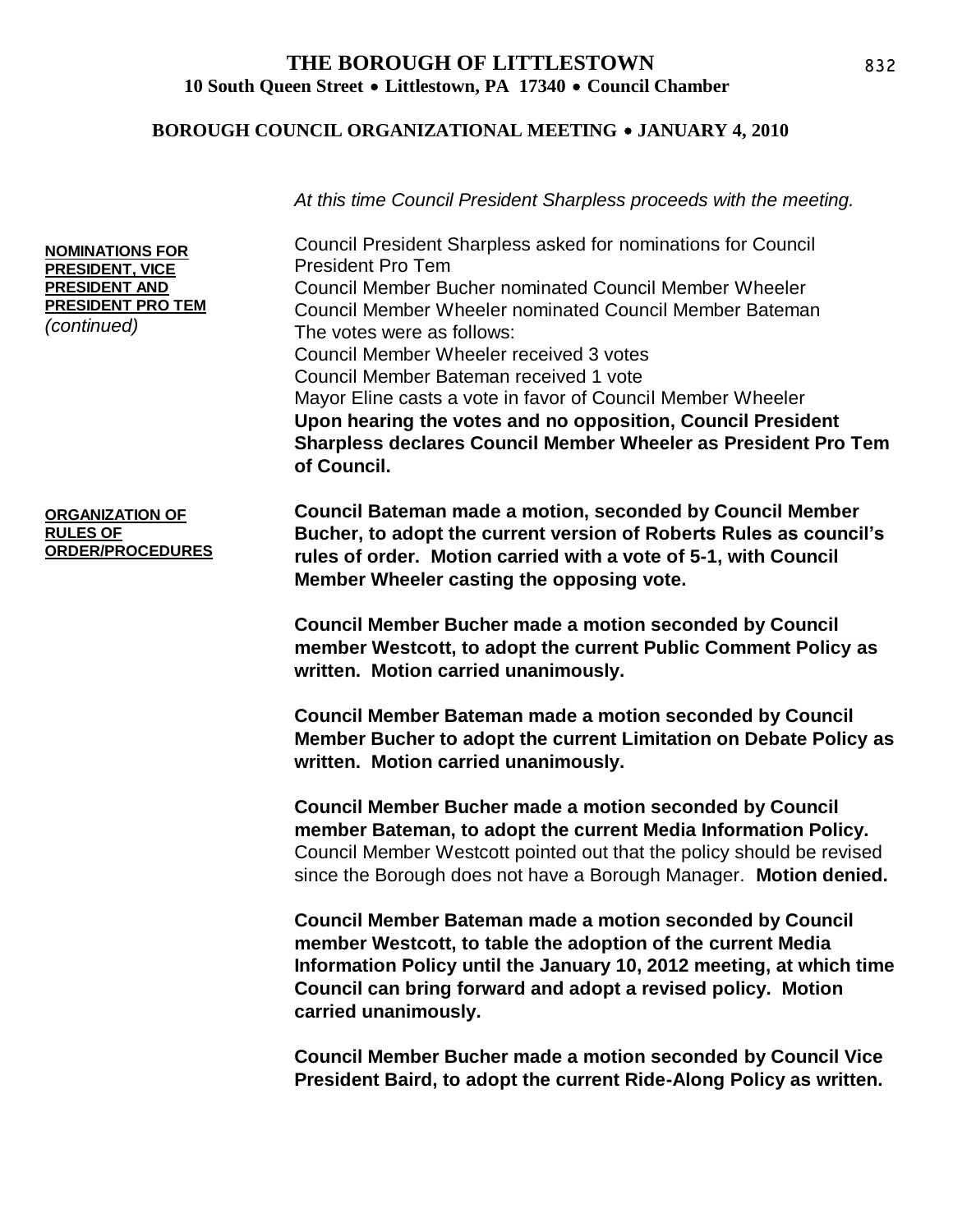### **THE BOROUGH OF LITTLESTOWN** 10 South Oueen Street • Littlestown, PA 17340 • Council Chamber

#### **BOROUGH COUNCIL ORGANIZATIONAL MEETING • JANUARY 4, 2010**

*At this time Council President Sharpless proceeds with the meeting.*

Council President Sharpless asked for nominations for Council President Pro Tem Council Member Bucher nominated Council Member Wheeler Council Member Wheeler nominated Council Member Bateman The votes were as follows: Council Member Wheeler received 3 votes Council Member Bateman received 1 vote Mayor Eline casts a vote in favor of Council Member Wheeler **Upon hearing the votes and no opposition, Council President Sharpless declares Council Member Wheeler as President Pro Tem of Council.**

**Council Bateman made a motion, seconded by Council Member Bucher, to adopt the current version of Roberts Rules as council's rules of order. Motion carried with a vote of 5-1, with Council Member Wheeler casting the opposing vote.**

> **Council Member Bucher made a motion seconded by Council member Westcott, to adopt the current Public Comment Policy as written. Motion carried unanimously.**

**Council Member Bateman made a motion seconded by Council Member Bucher to adopt the current Limitation on Debate Policy as written. Motion carried unanimously.**

**Council Member Bucher made a motion seconded by Council member Bateman, to adopt the current Media Information Policy.**  Council Member Westcott pointed out that the policy should be revised since the Borough does not have a Borough Manager. **Motion denied.**

**Council Member Bateman made a motion seconded by Council member Westcott, to table the adoption of the current Media Information Policy until the January 10, 2012 meeting, at which time Council can bring forward and adopt a revised policy. Motion carried unanimously.**

**Council Member Bucher made a motion seconded by Council Vice President Baird, to adopt the current Ride-Along Policy as written.**

**NOMINATIONS FOR PRESIDENT, VICE PRESIDENT AND PRESIDENT PRO TEM**  *(continued)*

**ORGANIZATION OF RULES OF ORDER/PROCEDURES**